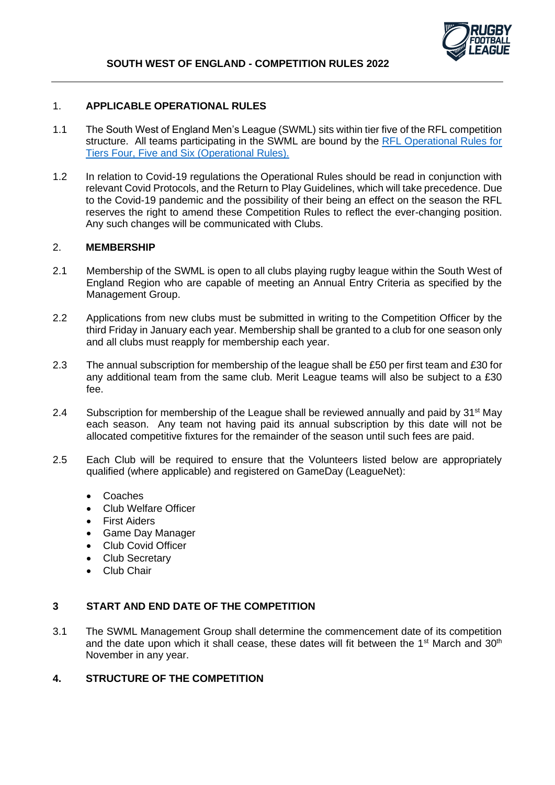

#### 1. **APPLICABLE OPERATIONAL RULES**

- 1.1 The South West of England Men's League (SWML) sits within tier five of the RFL competition structure. All teams participating in the SWML are bound by the RFL Operational Rules for [Tiers Four, Five and Six \(Operational Rules\).](https://staging.rugby-league.com/flipbooks/2022-operational-rules-tiers-4-6/index.html)
- 1.2 In relation to Covid-19 regulations the Operational Rules should be read in conjunction with relevant Covid Protocols, and the Return to Play Guidelines, which will take precedence. Due to the Covid-19 pandemic and the possibility of their being an effect on the season the RFL reserves the right to amend these Competition Rules to reflect the ever-changing position. Any such changes will be communicated with Clubs.

### 2. **MEMBERSHIP**

- 2.1 Membership of the SWML is open to all clubs playing rugby league within the South West of England Region who are capable of meeting an Annual Entry Criteria as specified by the Management Group.
- 2.2 Applications from new clubs must be submitted in writing to the Competition Officer by the third Friday in January each year. Membership shall be granted to a club for one season only and all clubs must reapply for membership each year.
- 2.3 The annual subscription for membership of the league shall be £50 per first team and £30 for any additional team from the same club. Merit League teams will also be subject to a £30 fee.
- 2.4 Subscription for membership of the League shall be reviewed annually and paid by 31<sup>st</sup> May each season. Any team not having paid its annual subscription by this date will not be allocated competitive fixtures for the remainder of the season until such fees are paid.
- 2.5 Each Club will be required to ensure that the Volunteers listed below are appropriately qualified (where applicable) and registered on GameDay (LeagueNet):
	- Coaches
	- Club Welfare Officer
	- **First Aiders**
	- Game Day Manager
	- Club Covid Officer
	- Club Secretary
	- Club Chair

#### **3 START AND END DATE OF THE COMPETITION**

3.1 The SWML Management Group shall determine the commencement date of its competition and the date upon which it shall cease, these dates will fit between the 1<sup>st</sup> March and 30<sup>th</sup> November in any year.

## **4. STRUCTURE OF THE COMPETITION**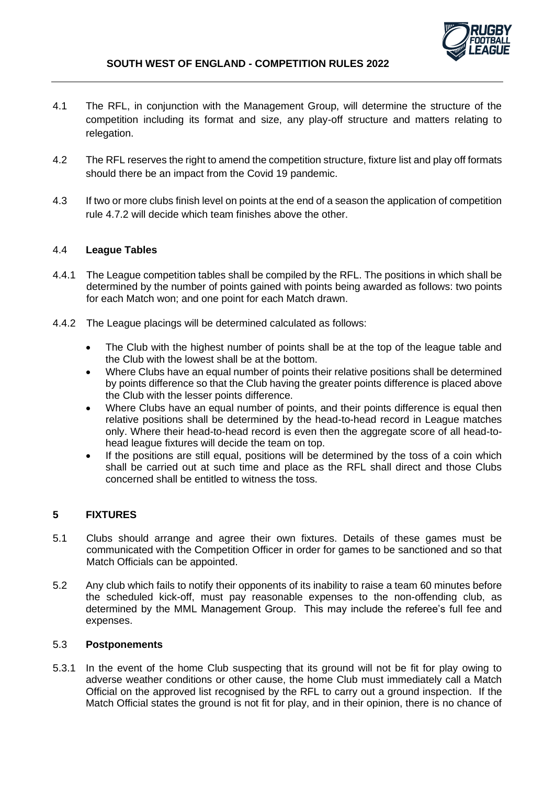

- 4.1 The RFL, in conjunction with the Management Group, will determine the structure of the competition including its format and size, any play-off structure and matters relating to relegation.
- 4.2 The RFL reserves the right to amend the competition structure, fixture list and play off formats should there be an impact from the Covid 19 pandemic.
- 4.3 If two or more clubs finish level on points at the end of a season the application of competition rule 4.7.2 will decide which team finishes above the other.

### 4.4 **League Tables**

- 4.4.1 The League competition tables shall be compiled by the RFL. The positions in which shall be determined by the number of points gained with points being awarded as follows: two points for each Match won; and one point for each Match drawn.
- 4.4.2 The League placings will be determined calculated as follows:
	- The Club with the highest number of points shall be at the top of the league table and the Club with the lowest shall be at the bottom.
	- Where Clubs have an equal number of points their relative positions shall be determined by points difference so that the Club having the greater points difference is placed above the Club with the lesser points difference.
	- Where Clubs have an equal number of points, and their points difference is equal then relative positions shall be determined by the head-to-head record in League matches only. Where their head-to-head record is even then the aggregate score of all head-tohead league fixtures will decide the team on top.
	- If the positions are still equal, positions will be determined by the toss of a coin which shall be carried out at such time and place as the RFL shall direct and those Clubs concerned shall be entitled to witness the toss.

# **5 FIXTURES**

- 5.1 Clubs should arrange and agree their own fixtures. Details of these games must be communicated with the Competition Officer in order for games to be sanctioned and so that Match Officials can be appointed.
- 5.2 Any club which fails to notify their opponents of its inability to raise a team 60 minutes before the scheduled kick-off, must pay reasonable expenses to the non-offending club, as determined by the MML Management Group. This may include the referee's full fee and expenses.

### 5.3 **Postponements**

5.3.1 In the event of the home Club suspecting that its ground will not be fit for play owing to adverse weather conditions or other cause, the home Club must immediately call a Match Official on the approved list recognised by the RFL to carry out a ground inspection. If the Match Official states the ground is not fit for play, and in their opinion, there is no chance of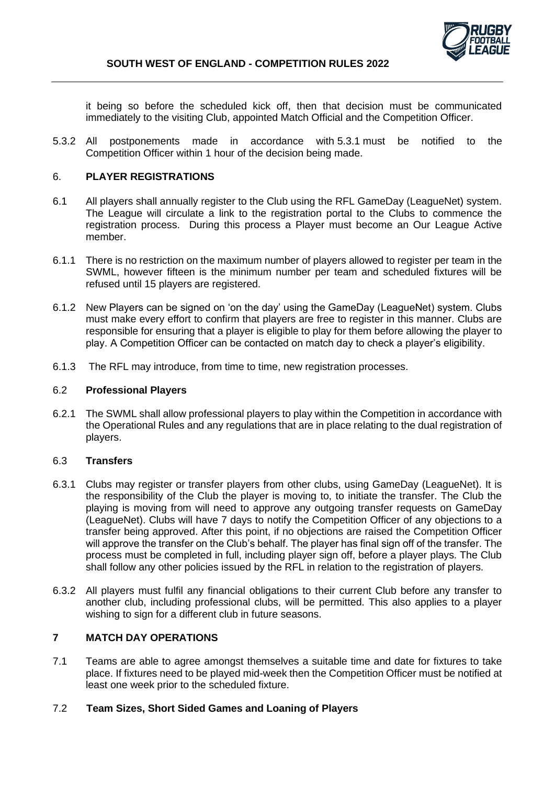

it being so before the scheduled kick off, then that decision must be communicated immediately to the visiting Club, appointed Match Official and the Competition Officer.

5.3.2 All postponements made in accordance with 5.3.1 must be notified to the Competition Officer within 1 hour of the decision being made.

### 6. **PLAYER REGISTRATIONS**

- 6.1 All players shall annually register to the Club using the RFL GameDay (LeagueNet) system. The League will circulate a link to the registration portal to the Clubs to commence the registration process. During this process a Player must become an Our League Active member.
- 6.1.1 There is no restriction on the maximum number of players allowed to register per team in the SWML, however fifteen is the minimum number per team and scheduled fixtures will be refused until 15 players are registered.
- 6.1.2 New Players can be signed on 'on the day' using the GameDay (LeagueNet) system. Clubs must make every effort to confirm that players are free to register in this manner. Clubs are responsible for ensuring that a player is eligible to play for them before allowing the player to play. A Competition Officer can be contacted on match day to check a player's eligibility.
- 6.1.3 The RFL may introduce, from time to time, new registration processes.

#### 6.2 **Professional Players**

6.2.1 The SWML shall allow professional players to play within the Competition in accordance with the Operational Rules and any regulations that are in place relating to the dual registration of players.

#### 6.3 **Transfers**

- 6.3.1 Clubs may register or transfer players from other clubs, using GameDay (LeagueNet). It is the responsibility of the Club the player is moving to, to initiate the transfer. The Club the playing is moving from will need to approve any outgoing transfer requests on GameDay (LeagueNet). Clubs will have 7 days to notify the Competition Officer of any objections to a transfer being approved. After this point, if no objections are raised the Competition Officer will approve the transfer on the Club's behalf. The player has final sign off of the transfer. The process must be completed in full, including player sign off, before a player plays. The Club shall follow any other policies issued by the RFL in relation to the registration of players.
- 6.3.2 All players must fulfil any financial obligations to their current Club before any transfer to another club, including professional clubs, will be permitted. This also applies to a player wishing to sign for a different club in future seasons.

# **7 MATCH DAY OPERATIONS**

7.1 Teams are able to agree amongst themselves a suitable time and date for fixtures to take place. If fixtures need to be played mid-week then the Competition Officer must be notified at least one week prior to the scheduled fixture.

#### 7.2 **Team Sizes, Short Sided Games and Loaning of Players**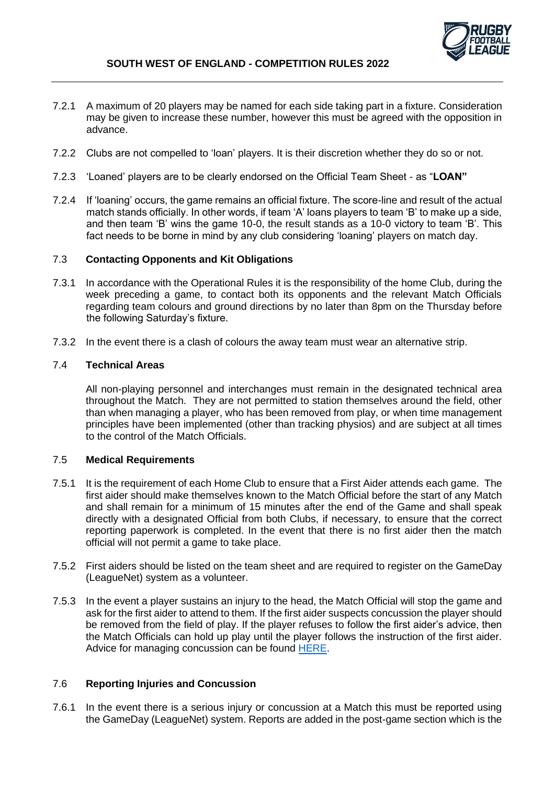

- 7.2.1 A maximum of 20 players may be named for each side taking part in a fixture. Consideration may be given to increase these number, however this must be agreed with the opposition in advance.
- 7.2.2 Clubs are not compelled to 'loan' players. It is their discretion whether they do so or not.
- 7.2.3 'Loaned' players are to be clearly endorsed on the Official Team Sheet as "**LOAN"**
- 7.2.4 If 'loaning' occurs, the game remains an official fixture. The score-line and result of the actual match stands officially. In other words, if team 'A' loans players to team 'B' to make up a side, and then team 'B' wins the game 10-0, the result stands as a 10-0 victory to team 'B'. This fact needs to be borne in mind by any club considering 'loaning' players on match day.

#### 7.3 **Contacting Opponents and Kit Obligations**

- 7.3.1 In accordance with the Operational Rules it is the responsibility of the home Club, during the week preceding a game, to contact both its opponents and the relevant Match Officials regarding team colours and ground directions by no later than 8pm on the Thursday before the following Saturday's fixture.
- 7.3.2 In the event there is a clash of colours the away team must wear an alternative strip.

### 7.4 **Technical Areas**

All non-playing personnel and interchanges must remain in the designated technical area throughout the Match. They are not permitted to station themselves around the field, other than when managing a player, who has been removed from play, or when time management principles have been implemented (other than tracking physios) and are subject at all times to the control of the Match Officials.

#### 7.5 **Medical Requirements**

- 7.5.1 It is the requirement of each Home Club to ensure that a First Aider attends each game. The first aider should make themselves known to the Match Official before the start of any Match and shall remain for a minimum of 15 minutes after the end of the Game and shall speak directly with a designated Official from both Clubs, if necessary, to ensure that the correct reporting paperwork is completed. In the event that there is no first aider then the match official will not permit a game to take place.
- 7.5.2 First aiders should be listed on the team sheet and are required to register on the GameDay (LeagueNet) system as a volunteer.
- 7.5.3 In the event a player sustains an injury to the head, the Match Official will stop the game and ask for the first aider to attend to them. If the first aider suspects concussion the player should be removed from the field of play. If the player refuses to follow the first aider's advice, then the Match Officials can hold up play until the player follows the instruction of the first aider. Advice for managing concussion can be found [HERE.](https://www.rugby-league.com/governance/medical/concussion)

#### 7.6 **Reporting Injuries and Concussion**

7.6.1 In the event there is a serious injury or concussion at a Match this must be reported using the GameDay (LeagueNet) system. Reports are added in the post-game section which is the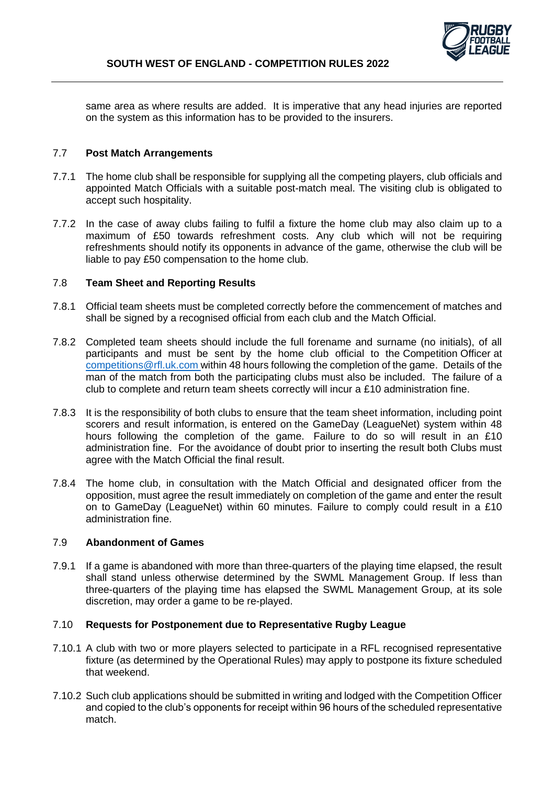

same area as where results are added. It is imperative that any head injuries are reported on the system as this information has to be provided to the insurers.

#### 7.7 **Post Match Arrangements**

- 7.7.1 The home club shall be responsible for supplying all the competing players, club officials and appointed Match Officials with a suitable post-match meal. The visiting club is obligated to accept such hospitality.
- 7.7.2 In the case of away clubs failing to fulfil a fixture the home club may also claim up to a maximum of £50 towards refreshment costs. Any club which will not be requiring refreshments should notify its opponents in advance of the game, otherwise the club will be liable to pay £50 compensation to the home club.

### 7.8 **Team Sheet and Reporting Results**

- 7.8.1 Official team sheets must be completed correctly before the commencement of matches and shall be signed by a recognised official from each club and the Match Official.
- 7.8.2 Completed team sheets should include the full forename and surname (no initials), of all participants and must be sent by the home club official to the Competition Officer at [competitions@rfl.uk.com](mailto:competitions@rfl.uk.com) within 48 hours following the completion of the game. Details of the man of the match from both the participating clubs must also be included. The failure of a club to complete and return team sheets correctly will incur a £10 administration fine.
- 7.8.3 It is the responsibility of both clubs to ensure that the team sheet information, including point scorers and result information, is entered on the GameDay (LeagueNet) system within 48 hours following the completion of the game. Failure to do so will result in an £10 administration fine. For the avoidance of doubt prior to inserting the result both Clubs must agree with the Match Official the final result.
- 7.8.4 The home club, in consultation with the Match Official and designated officer from the opposition, must agree the result immediately on completion of the game and enter the result on to GameDay (LeagueNet) within 60 minutes. Failure to comply could result in a £10 administration fine.

#### 7.9 **Abandonment of Games**

7.9.1 If a game is abandoned with more than three-quarters of the playing time elapsed, the result shall stand unless otherwise determined by the SWML Management Group. If less than three-quarters of the playing time has elapsed the SWML Management Group, at its sole discretion, may order a game to be re-played.

#### 7.10 **Requests for Postponement due to Representative Rugby League**

- 7.10.1 A club with two or more players selected to participate in a RFL recognised representative fixture (as determined by the Operational Rules) may apply to postpone its fixture scheduled that weekend.
- 7.10.2 Such club applications should be submitted in writing and lodged with the Competition Officer and copied to the club's opponents for receipt within 96 hours of the scheduled representative match.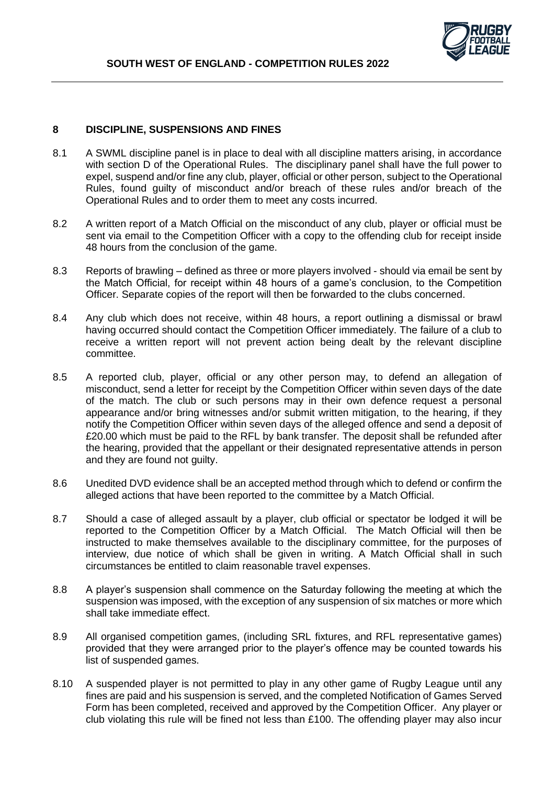# **8 DISCIPLINE, SUSPENSIONS AND FINES**

- 8.1 A SWML discipline panel is in place to deal with all discipline matters arising, in accordance with section D of the Operational Rules. The disciplinary panel shall have the full power to expel, suspend and/or fine any club, player, official or other person, subject to the Operational Rules, found guilty of misconduct and/or breach of these rules and/or breach of the Operational Rules and to order them to meet any costs incurred.
- 8.2 A written report of a Match Official on the misconduct of any club, player or official must be sent via email to the Competition Officer with a copy to the offending club for receipt inside 48 hours from the conclusion of the game.
- 8.3 Reports of brawling defined as three or more players involved should via email be sent by the Match Official, for receipt within 48 hours of a game's conclusion, to the Competition Officer. Separate copies of the report will then be forwarded to the clubs concerned.
- 8.4 Any club which does not receive, within 48 hours, a report outlining a dismissal or brawl having occurred should contact the Competition Officer immediately. The failure of a club to receive a written report will not prevent action being dealt by the relevant discipline committee.
- 8.5 A reported club, player, official or any other person may, to defend an allegation of misconduct, send a letter for receipt by the Competition Officer within seven days of the date of the match. The club or such persons may in their own defence request a personal appearance and/or bring witnesses and/or submit written mitigation, to the hearing, if they notify the Competition Officer within seven days of the alleged offence and send a deposit of £20.00 which must be paid to the RFL by bank transfer. The deposit shall be refunded after the hearing, provided that the appellant or their designated representative attends in person and they are found not guilty.
- 8.6 Unedited DVD evidence shall be an accepted method through which to defend or confirm the alleged actions that have been reported to the committee by a Match Official.
- 8.7 Should a case of alleged assault by a player, club official or spectator be lodged it will be reported to the Competition Officer by a Match Official. The Match Official will then be instructed to make themselves available to the disciplinary committee, for the purposes of interview, due notice of which shall be given in writing. A Match Official shall in such circumstances be entitled to claim reasonable travel expenses.
- 8.8 A player's suspension shall commence on the Saturday following the meeting at which the suspension was imposed, with the exception of any suspension of six matches or more which shall take immediate effect.
- 8.9 All organised competition games, (including SRL fixtures, and RFL representative games) provided that they were arranged prior to the player's offence may be counted towards his list of suspended games.
- 8.10 A suspended player is not permitted to play in any other game of Rugby League until any fines are paid and his suspension is served, and the completed Notification of Games Served Form has been completed, received and approved by the Competition Officer. Any player or club violating this rule will be fined not less than £100. The offending player may also incur